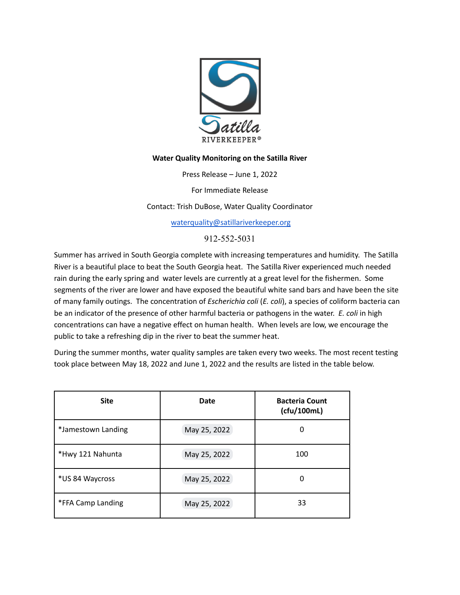

## **Water Quality Monitoring on the Satilla River**

Press Release – June 1, 2022

For Immediate Release

Contact: Trish DuBose, Water Quality Coordinator

[waterquality@satillariverkeeper.org](mailto:waterquality@satillariverkeeper.org)

912-552-5031

Summer has arrived in South Georgia complete with increasing temperatures and humidity. The Satilla River is a beautiful place to beat the South Georgia heat. The Satilla River experienced much needed rain during the early spring and water levels are currently at a great level for the fishermen. Some segments of the river are lower and have exposed the beautiful white sand bars and have been the site of many family outings. The concentration of *Escherichia coli* (*E. coli*), a species of coliform bacteria can be an indicator of the presence of other harmful bacteria or pathogens in the water. *E. coli* in high concentrations can have a negative effect on human health. When levels are low, we encourage the public to take a refreshing dip in the river to beat the summer heat.

During the summer months, water quality samples are taken every two weeks. The most recent testing took place between May 18, 2022 and June 1, 2022 and the results are listed in the table below.

| <b>Site</b>        | <b>Date</b>  | <b>Bacteria Count</b><br>(cfu/100mL) |
|--------------------|--------------|--------------------------------------|
| *Jamestown Landing | May 25, 2022 | 0                                    |
| *Hwy 121 Nahunta   | May 25, 2022 | 100                                  |
| *US 84 Waycross    | May 25, 2022 | 0                                    |
| *FFA Camp Landing  | May 25, 2022 | 33                                   |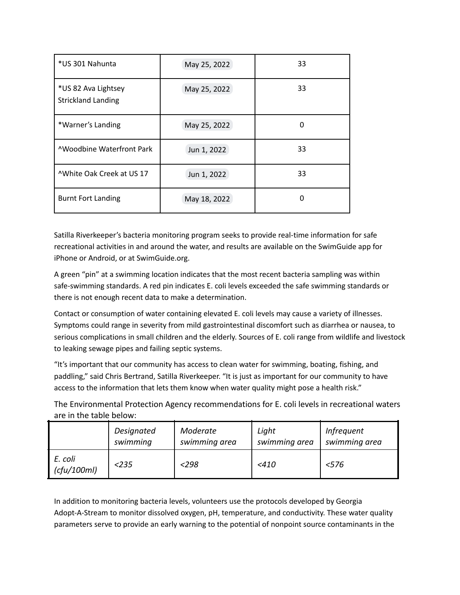| *US 301 Nahunta                                  | May 25, 2022 | 33 |
|--------------------------------------------------|--------------|----|
| *US 82 Ava Lightsey<br><b>Strickland Landing</b> | May 25, 2022 | 33 |
| *Warner's Landing                                | May 25, 2022 | 0  |
| <b>AWoodbine Waterfront Park</b>                 | Jun 1, 2022  | 33 |
| <sup>^</sup> White Oak Creek at US 17            | Jun 1, 2022  | 33 |
| <b>Burnt Fort Landing</b>                        | May 18, 2022 | 0  |

Satilla Riverkeeper's bacteria monitoring program seeks to provide real-time information for safe recreational activities in and around the water, and results are available on the SwimGuide app for iPhone or Android, or at SwimGuide.org.

A green "pin" at a swimming location indicates that the most recent bacteria sampling was within safe-swimming standards. A red pin indicates E. coli levels exceeded the safe swimming standards or there is not enough recent data to make a determination.

Contact or consumption of water containing elevated E. coli levels may cause a variety of illnesses. Symptoms could range in severity from mild gastrointestinal discomfort such as diarrhea or nausea, to serious complications in small children and the elderly. Sources of E. coli range from wildlife and livestock to leaking sewage pipes and failing septic systems.

"It's important that our community has access to clean water for swimming, boating, fishing, and paddling," said Chris Bertrand, Satilla Riverkeeper. "It is just as important for our community to have access to the information that lets them know when water quality might pose a health risk."

The Environmental Protection Agency recommendations for E. coli levels in recreational waters are in the table below:

|                        | Designated | Moderate      | Light         | <i>Infrequent</i> |
|------------------------|------------|---------------|---------------|-------------------|
|                        | swimming   | swimming area | swimming area | swimming area     |
| E. coli<br>(cfu/100ml) | < 235      | <298          | $<$ 410       | < 576             |

In addition to monitoring bacteria levels, volunteers use the protocols developed by Georgia Adopt-A-Stream to monitor dissolved oxygen, pH, temperature, and conductivity. These water quality parameters serve to provide an early warning to the potential of nonpoint source contaminants in the